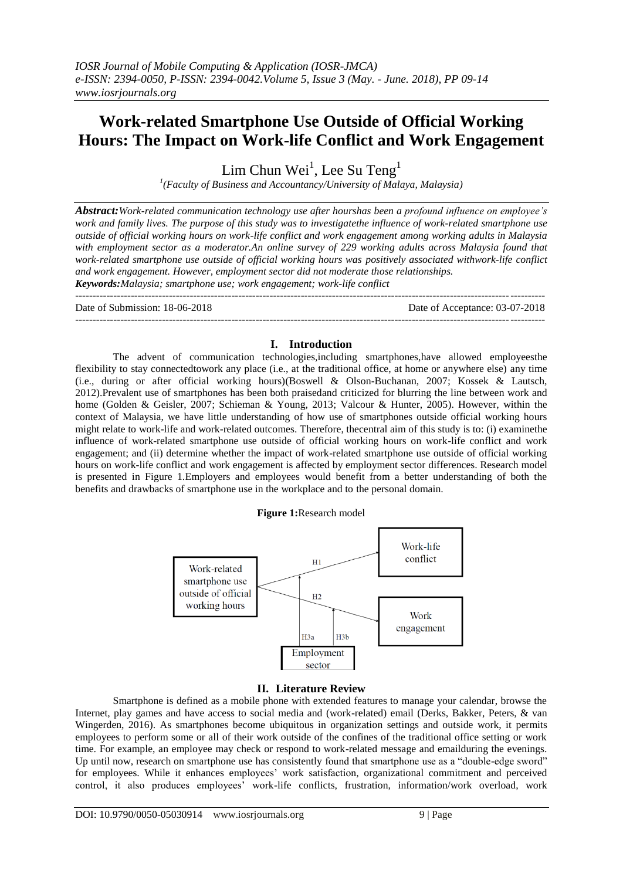# **Work-related Smartphone Use Outside of Official Working Hours: The Impact on Work-life Conflict and Work Engagement**

 $Lim$  Chun Wei<sup>1</sup>, Lee Su Teng<sup>1</sup>

*1 (Faculty of Business and Accountancy/University of Malaya, Malaysia)*

*Abstract:Work-related communication technology use after hourshas been a profound influence on employee's work and family lives. The purpose of this study was to investigatethe influence of work-related smartphone use outside of official working hours on work-life conflict and work engagement among working adults in Malaysia with employment sector as a moderator.An online survey of 229 working adults across Malaysia found that work-related smartphone use outside of official working hours was positively associated withwork-life conflict and work engagement. However, employment sector did not moderate those relationships. Keywords:Malaysia; smartphone use; work engagement; work-life conflict*

--------------------------------------------------------------------------------------------------------------------------------------- Date of Submission: 18-06-2018 Date of Acceptance: 03-07-2018 ---------------------------------------------------------------------------------------------------------------------------------------

# **I. Introduction**

The advent of communication technologies,including smartphones,have allowed employeesthe flexibility to stay connectedtowork any place (i.e., at the traditional office, at home or anywhere else) any time (i.e., during or after official working hours)[\(Boswell & Olson-Buchanan, 2007;](#page-4-0) [Kossek & Lautsch,](#page-4-1)  [2012\)](#page-4-1).Prevalent use of smartphones has been both praisedand criticized for blurring the line between work and home [\(Golden & Geisler, 2007;](#page-4-2) [Schieman & Young, 2013;](#page-5-0) [Valcour & Hunter, 2005\)](#page-5-1). However, within the context of Malaysia, we have little understanding of how use of smartphones outside official working hours might relate to work-life and work-related outcomes. Therefore, thecentral aim of this study is to: (i) examinethe influence of work-related smartphone use outside of official working hours on work-life conflict and work engagement; and (ii) determine whether the impact of work-related smartphone use outside of official working hours on work-life conflict and work engagement is affected by employment sector differences. Research model is presented in Figure 1.Employers and employees would benefit from a better understanding of both the benefits and drawbacks of smartphone use in the workplace and to the personal domain.

#### **Figure 1:**Research model



# **II. Literature Review**

Smartphone is defined as a mobile phone with extended features to manage your calendar, browse the Internet, play games and have access to social media and (work-related) email (Derks, Bakker, Peters, & van Wingerden, 2016). As smartphones become ubiquitous in organization settings and outside work, it permits employees to perform some or all of their work outside of the confines of the traditional office setting or work time. For example, an employee may check or respond to work-related message and emailduring the evenings. Up until now, research on smartphone use has consistently found that smartphone use as a "double-edge sword" for employees. While it enhances employees' work satisfaction, organizational commitment and perceived control, it also produces employees' work-life conflicts, frustration, information/work overload, work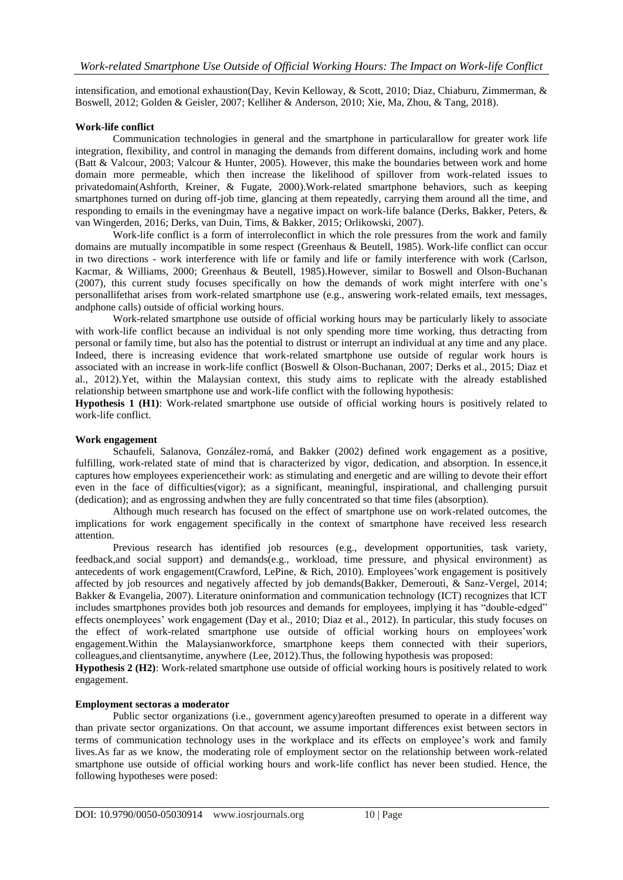intensification, and emotional exhaustion[\(Day, Kevin Kelloway, & Scott, 2010;](#page-4-3) [Diaz, Chiaburu, Zimmerman, &](#page-4-4)  [Boswell, 2012;](#page-4-4) [Golden & Geisler, 2007;](#page-4-2) [Kelliher & Anderson, 2010;](#page-4-5) [Xie, Ma, Zhou, & Tang, 2018\)](#page-5-2).

#### **Work-life conflict**

Communication technologies in general and the smartphone in particularallow for greater work life integration, flexibility, and control in managing the demands from different domains, including work and home [\(Batt & Valcour, 2003;](#page-4-6) [Valcour & Hunter, 2005\)](#page-5-1). However, this make the boundaries between work and home domain more permeable, which then increase the likelihood of spillover from work-related issues to privatedomain[\(Ashforth, Kreiner, & Fugate, 2000\)](#page-4-7).Work-related smartphone behaviors, such as keeping smartphones turned on during off-job time, glancing at them repeatedly, carrying them around all the time, and responding to emails in the eveningmay have a negative impact on work-life balance [\(Derks, Bakker, Peters, &](#page-4-8)  [van Wingerden, 2016;](#page-4-8) [Derks, van Duin, Tims, & Bakker, 2015;](#page-4-9) [Orlikowski, 2007\)](#page-5-3).

Work-life conflict is a form of interroleconflict in which the role pressures from the work and family domains are mutually incompatible in some respect [\(Greenhaus & Beutell, 1985\)](#page-4-10). Work-life conflict can occur in two directions - work interference with life or family and life or family interference with work [\(Carlson,](#page-4-11)  [Kacmar, & Williams, 2000;](#page-4-11) [Greenhaus & Beutell, 1985\)](#page-4-10).However, similar to [Boswell and Olson-Buchanan](#page-4-0)  (2007), this current study focuses specifically on how the demands of work might interfere with one"s personallifethat arises from work-related smartphone use (e.g., answering work-related emails, text messages, andphone calls) outside of official working hours.

Work-related smartphone use outside of official working hours may be particularly likely to associate with work-life conflict because an individual is not only spending more time working, thus detracting from personal or family time, but also has the potential to distrust or interrupt an individual at any time and any place. Indeed, there is increasing evidence that work-related smartphone use outside of regular work hours is associated with an increase in work-life conflict [\(Boswell & Olson-Buchanan, 2007;](#page-4-0) [Derks et al., 2015;](#page-4-9) [Diaz et](#page-4-4)  [al., 2012\)](#page-4-4).Yet, within the Malaysian context, this study aims to replicate with the already established relationship between smartphone use and work-life conflict with the following hypothesis:

**Hypothesis 1 (H1)**: Work-related smartphone use outside of official working hours is positively related to work-life conflict.

#### **Work engagement**

[Schaufeli, Salanova, González-romá, and Bakker \(2002\)](#page-5-4) defined work engagement as a positive, fulfilling, work-related state of mind that is characterized by vigor, dedication, and absorption. In essence,it captures how employees experiencetheir work: as stimulating and energetic and are willing to devote their effort even in the face of difficulties(vigor); as a significant, meaningful, inspirational, and challenging pursuit (dedication); and as engrossing andwhen they are fully concentrated so that time files (absorption).

Although much research has focused on the effect of smartphone use on work-related outcomes, the implications for work engagement specifically in the context of smartphone have received less research attention.

Previous research has identified job resources (e.g., development opportunities, task variety, feedback,and social support) and demands(e.g., workload, time pressure, and physical environment) as antecedents of work engagement[\(Crawford, LePine, & Rich, 2010\)](#page-4-12). Employees' work engagement is positively affected by job resources and negatively affected by job demands[\(Bakker, Demerouti, & Sanz-Vergel, 2014;](#page-4-13) [Bakker & Evangelia, 2007\)](#page-4-14). Literature oninformation and communication technology (ICT) recognizes that ICT includes smartphones provides both job resources and demands for employees, implying it has "double-edged" effects onemployees' work engagement [\(Day et al., 2010;](#page-4-3) [Diaz et al., 2012\)](#page-4-4). In particular, this study focuses on the effect of work-related smartphone use outside of official working hours on employees"work engagement.Within the Malaysianworkforce, smartphone keeps them connected with their superiors, colleagues,and clientsanytime, anywhere [\(Lee, 2012\)](#page-4-15).Thus, the following hypothesis was proposed:

**Hypothesis 2 (H2)**: Work-related smartphone use outside of official working hours is positively related to work engagement.

#### **Employment sectoras a moderator**

Public sector organizations (i.e., government agency)areoften presumed to operate in a different way than private sector organizations. On that account, we assume important differences exist between sectors in terms of communication technology uses in the workplace and its effects on employee"s work and family lives.As far as we know, the moderating role of employment sector on the relationship between work-related smartphone use outside of official working hours and work-life conflict has never been studied. Hence, the following hypotheses were posed: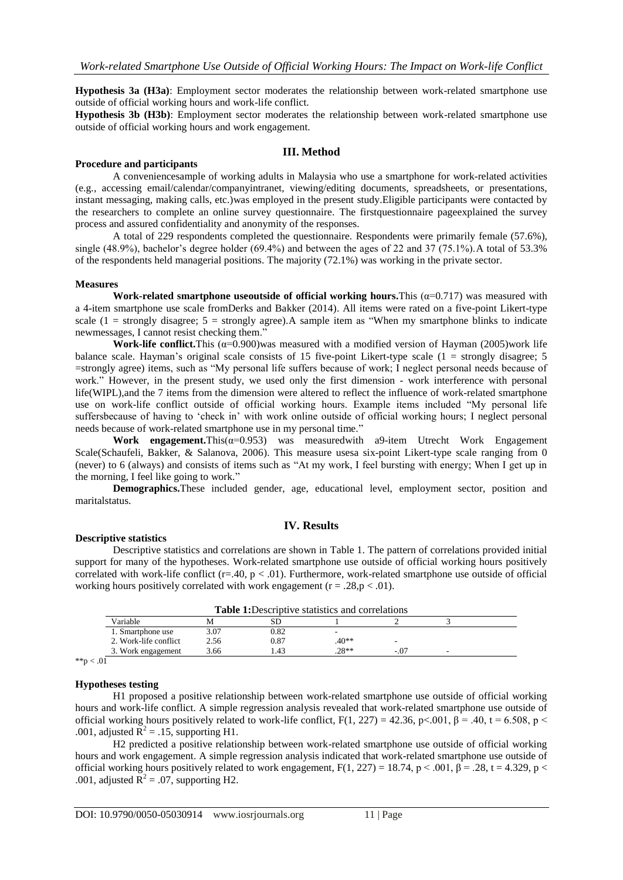**Hypothesis 3a (H3a)**: Employment sector moderates the relationship between work-related smartphone use outside of official working hours and work-life conflict.

**Hypothesis 3b (H3b)**: Employment sector moderates the relationship between work-related smartphone use outside of official working hours and work engagement.

#### **III. Method**

#### **Procedure and participants**

A conveniencesample of working adults in Malaysia who use a smartphone for work-related activities (e.g., accessing email/calendar/companyintranet, viewing/editing documents, spreadsheets, or presentations, instant messaging, making calls, etc.)was employed in the present study.Eligible participants were contacted by the researchers to complete an online survey questionnaire. The firstquestionnaire pageexplained the survey process and assured confidentiality and anonymity of the responses.

A total of 229 respondents completed the questionnaire. Respondents were primarily female (57.6%), single (48.9%), bachelor's degree holder (69.4%) and between the ages of 22 and 37 (75.1%). A total of 53.3% of the respondents held managerial positions. The majority (72.1%) was working in the private sector.

#### **Measures**

**Work-related smartphone useoutside of official working hours.** This  $(\alpha=0.717)$  was measured with a 4-item smartphone use scale fro[mDerks and Bakker \(2014\).](#page-4-16) All items were rated on a five-point Likert-type scale  $(1 =$  strongly disagree;  $5 =$  strongly agree). A sample item as "When my smartphone blinks to indicate newmessages, I cannot resist checking them."

**Work-life conflict.**This  $(\alpha=0.900)$  was measured with a modified version of Hayman (2005) work life balance scale. Hayman's original scale consists of 15 five-point Likert-type scale  $(1 =$  strongly disagree; 5 =strongly agree) items, such as "My personal life suffers because of work; I neglect personal needs because of work." However, in the present study, we used only the first dimension - work interference with personal life(WIPL),and the 7 items from the dimension were altered to reflect the influence of work-related smartphone use on work-life conflict outside of official working hours. Example items included "My personal life suffersbecause of having to "check in" with work online outside of official working hours; I neglect personal needs because of work-related smartphone use in my personal time."

**Work engagement.**This( $\alpha$ =0.953) was measuredwith a9-item Utrecht Work Engagement Scale[\(Schaufeli, Bakker, & Salanova, 2006\)](#page-5-5). This measure usesa six-point Likert-type scale ranging from 0 (never) to 6 (always) and consists of items such as "At my work, I feel bursting with energy; When I get up in the morning, I feel like going to work."

**Demographics.**These included gender, age, educational level, employment sector, position and maritalstatus.

### **IV. Results**

#### **Descriptive statistics**

Descriptive statistics and correlations are shown in Table 1. The pattern of correlations provided initial support for many of the hypotheses. Work-related smartphone use outside of official working hours positively correlated with work-life conflict ( $r=40$ ,  $p < .01$ ). Furthermore, work-related smartphone use outside of official working hours positively correlated with work engagement ( $r = .28$ , $p < .01$ ).

| Variable              | м    |      |         |      |  |
|-----------------------|------|------|---------|------|--|
| 1. Smartphone use     | 3.07 | 0.82 |         |      |  |
| 2. Work-life conflict | 2.56 | 0.87 | $40**$  |      |  |
| 3. Work engagement    | 3.66 | .43  | $.28**$ | -.07 |  |

# **Hypotheses testing**

H1 proposed a positive relationship between work-related smartphone use outside of official working hours and work-life conflict. A simple regression analysis revealed that work-related smartphone use outside of official working hours positively related to work-life conflict,  $F(1, 227) = 42.36$ ,  $p \lt 0.001$ ,  $β = .40$ ,  $t = 6.508$ ,  $p \lt 0.001$ .001, adjusted  $R^2 = .15$ , supporting H1.

H2 predicted a positive relationship between work-related smartphone use outside of official working hours and work engagement. A simple regression analysis indicated that work-related smartphone use outside of official working hours positively related to work engagement,  $F(1, 227) = 18.74$ ,  $p < .001$ ,  $β = .28$ ,  $t = 4.329$ ,  $p <$ .001, adjusted  $\mathbb{R}^2 = .07$ , supporting H2.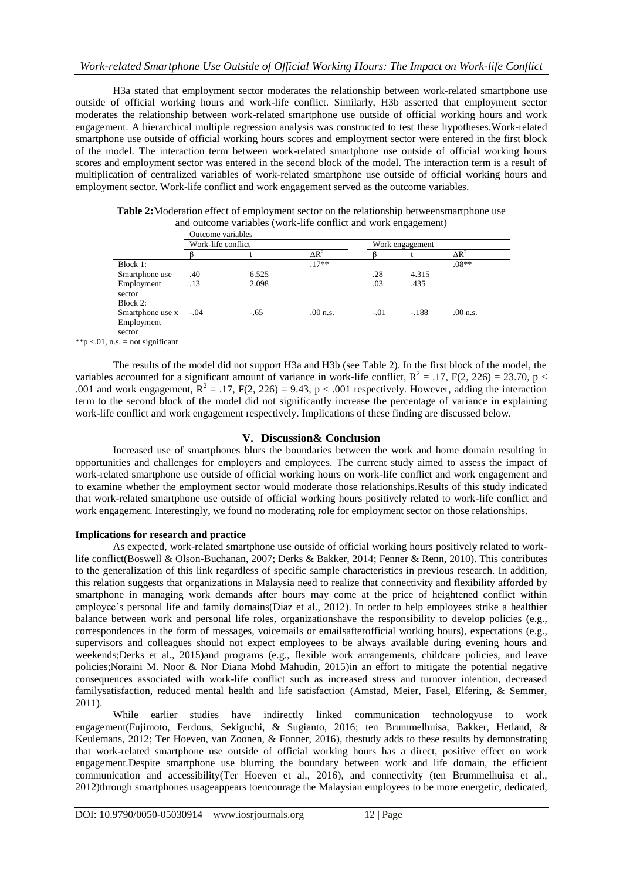H3a stated that employment sector moderates the relationship between work-related smartphone use outside of official working hours and work-life conflict. Similarly, H3b asserted that employment sector moderates the relationship between work-related smartphone use outside of official working hours and work engagement. A hierarchical multiple regression analysis was constructed to test these hypotheses.Work-related smartphone use outside of official working hours scores and employment sector were entered in the first block of the model. The interaction term between work-related smartphone use outside of official working hours scores and employment sector was entered in the second block of the model. The interaction term is a result of multiplication of centralized variables of work-related smartphone use outside of official working hours and employment sector. Work-life conflict and work engagement served as the outcome variables.

|                      | Outcome variables  |        |              |                 |         |              |  |  |
|----------------------|--------------------|--------|--------------|-----------------|---------|--------------|--|--|
|                      | Work-life conflict |        |              | Work engagement |         |              |  |  |
|                      |                    |        | $\Delta R^2$ |                 |         | $\Delta R^2$ |  |  |
| Block 1:             |                    |        | $.17**$      |                 |         | $.08**$      |  |  |
| Smartphone use       | .40                | 6.525  |              | .28             | 4.315   |              |  |  |
| Employment<br>sector | .13                | 2.098  |              | .03             | .435    |              |  |  |
| Block 2:             |                    |        |              |                 |         |              |  |  |
| Smartphone use x     | $-.04$             | $-.65$ | $.00$ n.s.   | $-.01$          | $-.188$ | $.00$ n.s.   |  |  |
| Employment<br>sector |                    |        |              |                 |         |              |  |  |

| Table 2: Moderation effect of employment sector on the relationship betweensmartphone use |  |
|-------------------------------------------------------------------------------------------|--|
| and outcome variables (work-life conflict and work engagement)                            |  |

 $**p < 01$ , n.s. = not significant

The results of the model did not support H3a and H3b (see Table 2). In the first block of the model, the variables accounted for a significant amount of variance in work-life conflict,  $R^2 = .17$ ,  $F(2, 226) = 23.70$ ,  $p <$ .001 and work engagement,  $R^2 = .17$ ,  $F(2, 226) = 9.43$ ,  $p < .001$  respectively. However, adding the interaction term to the second block of the model did not significantly increase the percentage of variance in explaining work-life conflict and work engagement respectively. Implications of these finding are discussed below.

# **V. Discussion& Conclusion**

Increased use of smartphones blurs the boundaries between the work and home domain resulting in opportunities and challenges for employers and employees. The current study aimed to assess the impact of work-related smartphone use outside of official working hours on work-life conflict and work engagement and to examine whether the employment sector would moderate those relationships.Results of this study indicated that work-related smartphone use outside of official working hours positively related to work-life conflict and work engagement. Interestingly, we found no moderating role for employment sector on those relationships.

#### **Implications for research and practice**

As expected, work-related smartphone use outside of official working hours positively related to worklife conflict[\(Boswell & Olson-Buchanan, 2007;](#page-4-0) [Derks & Bakker, 2014;](#page-4-16) [Fenner & Renn, 2010\)](#page-4-18). This contributes to the generalization of this link regardless of specific sample characteristics in previous research. In addition, this relation suggests that organizations in Malaysia need to realize that connectivity and flexibility afforded by smartphone in managing work demands after hours may come at the price of heightened conflict within employee"s personal life and family domains[\(Diaz et al., 2012\)](#page-4-4). In order to help employees strike a healthier balance between work and personal life roles, organizationshave the responsibility to develop policies (e.g., correspondences in the form of messages, voicemails or emailsafterofficial working hours), expectations (e.g., supervisors and colleagues should not expect employees to be always available during evening hours and weekends[;Derks et al., 2015\)](#page-4-9)and programs (e.g., flexible work arrangements, childcare policies, and leave policies[;Noraini M. Noor & Nor Diana Mohd Mahudin, 2015\)](#page-5-6)in an effort to mitigate the potential negative consequences associated with work-life conflict such as increased stress and turnover intention, decreased familysatisfaction, reduced mental health and life satisfaction [\(Amstad, Meier, Fasel, Elfering, & Semmer,](#page-4-19)  [2011\)](#page-4-19).

While earlier studies have indirectly linked communication technologyuse to work engagement[\(Fujimoto, Ferdous, Sekiguchi, & Sugianto, 2016;](#page-4-20) [ten Brummelhuisa, Bakker, Hetland, &](#page-5-7)  [Keulemans, 2012;](#page-5-7) [Ter Hoeven, van Zoonen, & Fonner, 2016\)](#page-5-8), thestudy adds to these results by demonstrating that work-related smartphone use outside of official working hours has a direct, positive effect on work engagement.Despite smartphone use blurring the boundary between work and life domain, the efficient communication and accessibility[\(Ter Hoeven et al., 2016\)](#page-5-8), and connectivity [\(ten Brummelhuisa et al.,](#page-5-7)  [2012\)](#page-5-7)through smartphones usageappears toencourage the Malaysian employees to be more energetic, dedicated,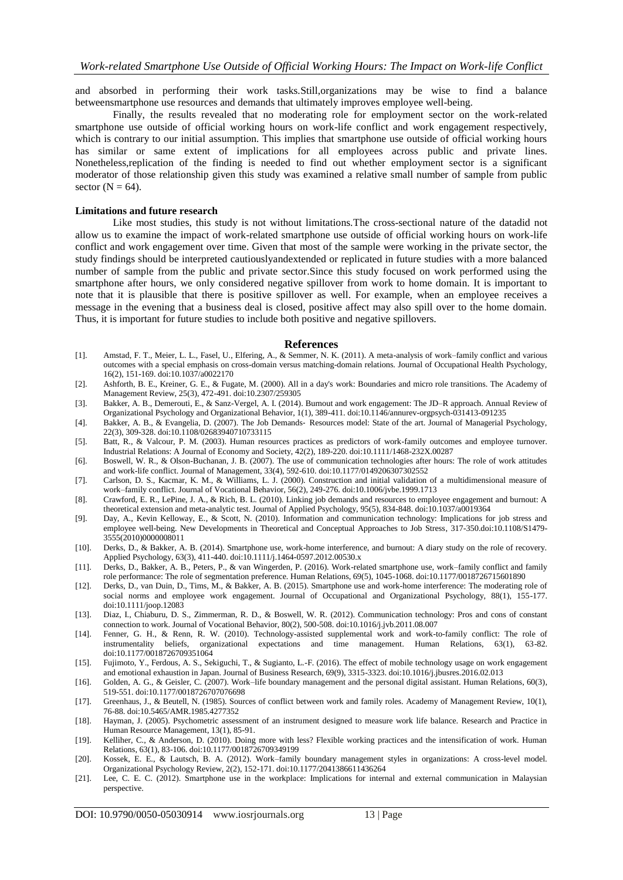and absorbed in performing their work tasks.Still,organizations may be wise to find a balance betweensmartphone use resources and demands that ultimately improves employee well-being.

Finally, the results revealed that no moderating role for employment sector on the work-related smartphone use outside of official working hours on work-life conflict and work engagement respectively, which is contrary to our initial assumption. This implies that smartphone use outside of official working hours has similar or same extent of implications for all employees across public and private lines. Nonetheless,replication of the finding is needed to find out whether employment sector is a significant moderator of those relationship given this study was examined a relative small number of sample from public sector  $(N = 64)$ .

#### **Limitations and future research**

Like most studies, this study is not without limitations.The cross-sectional nature of the datadid not allow us to examine the impact of work-related smartphone use outside of official working hours on work-life conflict and work engagement over time. Given that most of the sample were working in the private sector, the study findings should be interpreted cautiouslyandextended or replicated in future studies with a more balanced number of sample from the public and private sector.Since this study focused on work performed using the smartphone after hours, we only considered negative spillover from work to home domain. It is important to note that it is plausible that there is positive spillover as well. For example, when an employee receives a message in the evening that a business deal is closed, positive affect may also spill over to the home domain. Thus, it is important for future studies to include both positive and negative spillovers.

#### **References**

- <span id="page-4-19"></span>[1]. Amstad, F. T., Meier, L. L., Fasel, U., Elfering, A., & Semmer, N. K. (2011). A meta-analysis of work–family conflict and various outcomes with a special emphasis on cross-domain versus matching-domain relations. Journal of Occupational Health Psychology, 16(2), 151-169. doi:10.1037/a0022170
- <span id="page-4-7"></span>[2]. Ashforth, B. E., Kreiner, G. E., & Fugate, M. (2000). All in a day's work: Boundaries and micro role transitions. The Academy of Management Review, 25(3), 472-491. doi:10.2307/259305
- <span id="page-4-13"></span>[3]. Bakker, A. B., Demerouti, E., & Sanz-Vergel, A. I. (2014). Burnout and work engagement: The JD–R approach. Annual Review of Organizational Psychology and Organizational Behavior, 1(1), 389-411. doi:10.1146/annurev-orgpsych-031413-091235
- <span id="page-4-14"></span>[4]. Bakker, A. B., & Evangelia, D. (2007). The Job Demands‐ Resources model: State of the art. Journal of Managerial Psychology, 22(3), 309-328. doi:10.1108/02683940710733115
- <span id="page-4-6"></span>[5]. Batt, R., & Valcour, P. M. (2003). Human resources practices as predictors of work-family outcomes and employee turnover. Industrial Relations: A Journal of Economy and Society, 42(2), 189-220. doi:10.1111/1468-232X.00287
- <span id="page-4-0"></span>[6]. Boswell, W. R., & Olson-Buchanan, J. B. (2007). The use of communication technologies after hours: The role of work attitudes and work-life conflict. Journal of Management, 33(4), 592-610. doi:10.1177/0149206307302552
- <span id="page-4-11"></span>[7]. Carlson, D. S., Kacmar, K. M., & Williams, L. J. (2000). Construction and initial validation of a multidimensional measure of work–family conflict. Journal of Vocational Behavior, 56(2), 249-276. doi:10.1006/jvbe.1999.1713
- <span id="page-4-12"></span>[8]. Crawford, E. R., LePine, J. A., & Rich, B. L. (2010). Linking job demands and resources to employee engagement and burnout: A theoretical extension and meta-analytic test. Journal of Applied Psychology, 95(5), 834-848. doi:10.1037/a0019364
- <span id="page-4-3"></span>[9]. Day, A., Kevin Kelloway, E., & Scott, N. (2010). Information and communication technology: Implications for job stress and employee well-being. New Developments in Theoretical and Conceptual Approaches to Job Stress, 317-350.doi:10.1108/S1479- 3555(2010)0000008011
- <span id="page-4-16"></span>[10]. Derks, D., & Bakker, A. B. (2014). Smartphone use, work-home interference, and burnout: A diary study on the role of recovery. Applied Psychology, 63(3), 411-440. doi:10.1111/j.1464-0597.2012.00530.x
- <span id="page-4-8"></span>[11]. Derks, D., Bakker, A. B., Peters, P., & van Wingerden, P. (2016). Work-related smartphone use, work–family conflict and family role performance: The role of segmentation preference. Human Relations, 69(5), 1045-1068. doi:10.1177/0018726715601890
- <span id="page-4-9"></span>[12]. Derks, D., van Duin, D., Tims, M., & Bakker, A. B. (2015). Smartphone use and work-home interference: The moderating role of social norms and employee work engagement. Journal of Occupational and Organizational Psychology, 88(1), 155-177. doi:10.1111/joop.12083
- <span id="page-4-4"></span>[13]. Diaz, I., Chiaburu, D. S., Zimmerman, R. D., & Boswell, W. R. (2012). Communication technology: Pros and cons of constant connection to work. Journal of Vocational Behavior, 80(2), 500-508. doi:10.1016/j.jvb.2011.08.007
- <span id="page-4-18"></span>[14]. Fenner, G. H., & Renn, R. W. (2010). Technology-assisted supplemental work and work-to-family conflict: The role of instrumentality beliefs, organizational expectations and time management. Human Relations, 63(1), 63-82. doi:10.1177/0018726709351064
- <span id="page-4-20"></span>[15]. Fujimoto, Y., Ferdous, A. S., Sekiguchi, T., & Sugianto, L.-F. (2016). The effect of mobile technology usage on work engagement and emotional exhaustion in Japan. Journal of Business Research, 69(9), 3315-3323. doi:10.1016/j.jbusres.2016.02.013
- <span id="page-4-2"></span>[16]. Golden, A. G., & Geisler, C. (2007). Work–life boundary management and the personal digital assistant. Human Relations, 60(3), 519-551. doi:10.1177/0018726707076698
- <span id="page-4-10"></span>[17]. Greenhaus, J., & Beutell, N. (1985). Sources of conflict between work and family roles. Academy of Management Review, 10(1), 76-88. doi:10.5465/AMR.1985.4277352
- <span id="page-4-17"></span>[18]. Hayman, J. (2005). Psychometric assessment of an instrument designed to measure work life balance. Research and Practice in Human Resource Management, 13(1), 85-91.
- <span id="page-4-5"></span>[19]. Kelliher, C., & Anderson, D. (2010). Doing more with less? Flexible working practices and the intensification of work. Human Relations, 63(1), 83-106. doi:10.1177/0018726709349199
- <span id="page-4-1"></span>[20]. Kossek, E. E., & Lautsch, B. A. (2012). Work–family boundary management styles in organizations: A cross-level model. Organizational Psychology Review, 2(2), 152-171. doi:10.1177/2041386611436264
- <span id="page-4-15"></span>[21]. Lee, C. E. C. (2012). Smartphone use in the workplace: Implications for internal and external communication in Malaysian perspective.